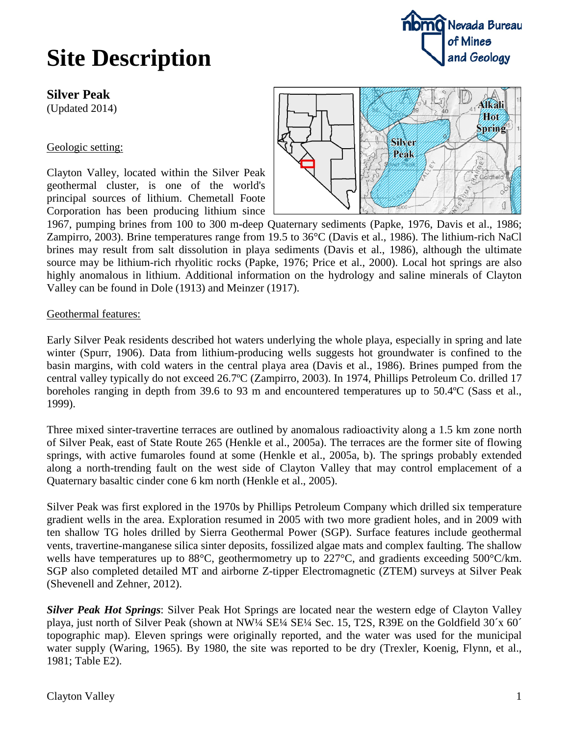### **Silver Peak**

(Updated 2014)

### Geologic setting:

Clayton Valley, located within the Silver Peak geothermal cluster, is one of the world's principal sources of lithium. Chemetall Foote Corporation has been producing lithium since



1967, pumping brines from 100 to 300 m-deep Quaternary sediments (Papke, 1976, Davis et al., 1986; Zampirro, 2003). Brine temperatures range from 19.5 to 36°C (Davis et al., 1986). The lithium-rich NaCl brines may result from salt dissolution in playa sediments (Davis et al., 1986), although the ultimate source may be lithium-rich rhyolitic rocks (Papke, 1976; Price et al., 2000). Local hot springs are also highly anomalous in lithium. Additional information on the hydrology and saline minerals of Clayton Valley can be found in Dole (1913) and Meinzer (1917).

### Geothermal features:

Early Silver Peak residents described hot waters underlying the whole playa, especially in spring and late winter (Spurr, 1906). Data from lithium-producing wells suggests hot groundwater is confined to the basin margins, with cold waters in the central playa area (Davis et al., 1986). Brines pumped from the central valley typically do not exceed 26.7ºC (Zampirro, 2003). In 1974, Phillips Petroleum Co. drilled 17 boreholes ranging in depth from 39.6 to 93 m and encountered temperatures up to 50.4ºC (Sass et al., 1999).

Three mixed sinter-travertine terraces are outlined by anomalous radioactivity along a 1.5 km zone north of Silver Peak, east of State Route 265 (Henkle et al., 2005a). The terraces are the former site of flowing springs, with active fumaroles found at some (Henkle et al., 2005a, b). The springs probably extended along a north-trending fault on the west side of Clayton Valley that may control emplacement of a Quaternary basaltic cinder cone 6 km north (Henkle et al., 2005).

Silver Peak was first explored in the 1970s by Phillips Petroleum Company which drilled six temperature gradient wells in the area. Exploration resumed in 2005 with two more gradient holes, and in 2009 with ten shallow TG holes drilled by Sierra Geothermal Power (SGP). Surface features include geothermal vents, travertine-manganese silica sinter deposits, fossilized algae mats and complex faulting. The shallow wells have temperatures up to 88°C, geothermometry up to 227°C, and gradients exceeding 500°C/km. SGP also completed detailed MT and airborne Z-tipper Electromagnetic (ZTEM) surveys at Silver Peak (Shevenell and Zehner, 2012).

*Silver Peak Hot Springs*: Silver Peak Hot Springs are located near the western edge of Clayton Valley playa, just north of Silver Peak (shown at NW¼ SE¼ SE¼ Sec. 15, T2S, R39E on the Goldfield 30´x 60´ topographic map). Eleven springs were originally reported, and the water was used for the municipal water supply (Waring, 1965). By 1980, the site was reported to be dry (Trexler, Koenig, Flynn, et al., 1981; Table E2).

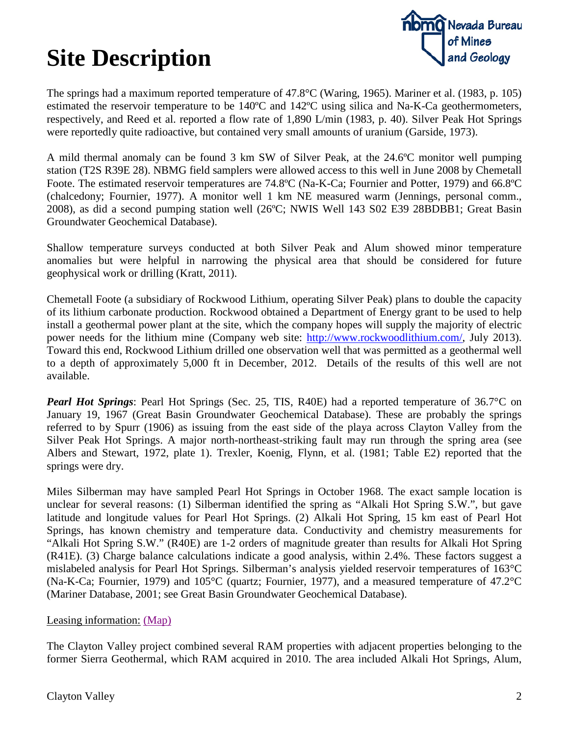

The springs had a maximum reported temperature of 47.8°C (Waring, 1965). Mariner et al. (1983, p. 105) estimated the reservoir temperature to be 140ºC and 142ºC using silica and Na-K-Ca geothermometers, respectively, and Reed et al. reported a flow rate of 1,890 L/min (1983, p. 40). Silver Peak Hot Springs were reportedly quite radioactive, but contained very small amounts of uranium (Garside, 1973).

A mild thermal anomaly can be found 3 km SW of Silver Peak, at the 24.6ºC monitor well pumping station (T2S R39E 28). NBMG field samplers were allowed access to this well in June 2008 by Chemetall Foote. The estimated reservoir temperatures are 74.8ºC (Na-K-Ca; Fournier and Potter, 1979) and 66.8ºC (chalcedony; Fournier, 1977). A monitor well 1 km NE measured warm (Jennings, personal comm., 2008), as did a second pumping station well (26ºC; NWIS Well 143 S02 E39 28BDBB1; Great Basin Groundwater Geochemical Database).

Shallow temperature surveys conducted at both Silver Peak and Alum showed minor temperature anomalies but were helpful in narrowing the physical area that should be considered for future geophysical work or drilling (Kratt, 2011).

Chemetall Foote (a subsidiary of Rockwood Lithium, operating Silver Peak) plans to double the capacity of its lithium carbonate production. Rockwood obtained a Department of Energy grant to be used to help install a geothermal power plant at the site, which the company hopes will supply the majority of electric power needs for the lithium mine (Company web site: [http://www.rockwoodlithium.com/,](http://www.rockwoodlithium.com/) July 2013). Toward this end, Rockwood Lithium drilled one observation well that was permitted as a geothermal well to a depth of approximately 5,000 ft in December, 2012. Details of the results of this well are not available.

*Pearl Hot Springs*: Pearl Hot Springs (Sec. 25, TIS, R40E) had a reported temperature of 36.7<sup>o</sup>C on January 19, 1967 (Great Basin Groundwater Geochemical Database). These are probably the springs referred to by Spurr (1906) as issuing from the east side of the playa across Clayton Valley from the Silver Peak Hot Springs. A major north-northeast-striking fault may run through the spring area (see Albers and Stewart, 1972, plate 1). Trexler, Koenig, Flynn, et al. (1981; Table E2) reported that the springs were dry.

Miles Silberman may have sampled Pearl Hot Springs in October 1968. The exact sample location is unclear for several reasons: (1) Silberman identified the spring as "Alkali Hot Spring S.W.", but gave latitude and longitude values for Pearl Hot Springs. (2) Alkali Hot Spring, 15 km east of Pearl Hot Springs, has known chemistry and temperature data. Conductivity and chemistry measurements for "Alkali Hot Spring S.W." (R40E) are 1-2 orders of magnitude greater than results for Alkali Hot Spring (R41E). (3) Charge balance calculations indicate a good analysis, within 2.4%. These factors suggest a mislabeled analysis for Pearl Hot Springs. Silberman's analysis yielded reservoir temperatures of 163°C (Na-K-Ca; Fournier, 1979) and 105°C (quartz; Fournier, 1977), and a measured temperature of 47.2°C (Mariner Database, 2001; see Great Basin Groundwater Geochemical Database).

### Leasing information: [\(Map\)](http://data.nbmg.unr.edu/Public/Geothermal/DetailedMaps/ClaytonValley_map.jpg)

The Clayton Valley project combined several RAM properties with adjacent properties belonging to the former Sierra Geothermal, which RAM acquired in 2010. The area included Alkali Hot Springs, Alum,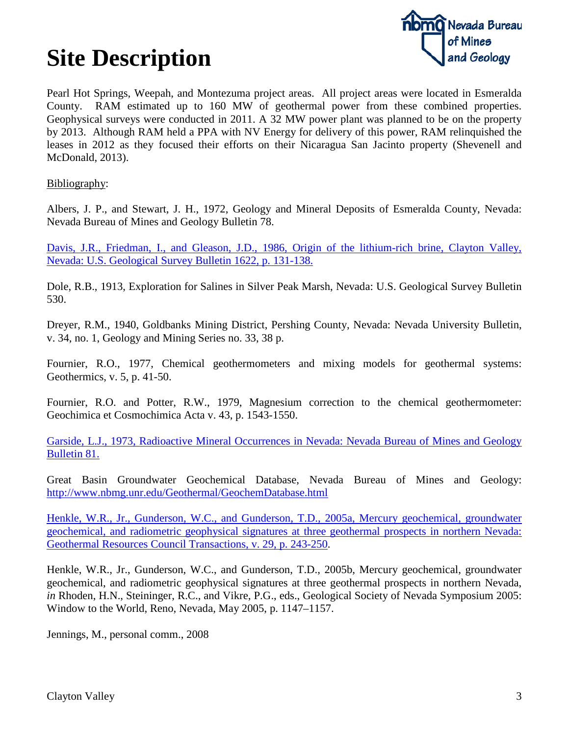

Pearl Hot Springs, Weepah, and Montezuma project areas. All project areas were located in Esmeralda County. RAM estimated up to 160 MW of geothermal power from these combined properties. Geophysical surveys were conducted in 2011. A 32 MW power plant was planned to be on the property by 2013. Although RAM held a PPA with NV Energy for delivery of this power, RAM relinquished the leases in 2012 as they focused their efforts on their Nicaragua San Jacinto property (Shevenell and McDonald, 2013).

Bibliography:

Albers, J. P., and Stewart, J. H., 1972, Geology and Mineral Deposits of Esmeralda County, Nevada: Nevada Bureau of Mines and Geology Bulletin 78.

[Davis, J.R., Friedman, I., and Gleason, J.D., 1986, Origin of the lithium-rich brine, Clayton Valley,](ftp://ftp.nbmg.unr.edu/pub/geothermal/11_Documents/Davis_ClaytonVlly_LiBrine_1986.pdf)  [Nevada: U.S. Geological Survey Bulletin 1622, p. 131-138.](ftp://ftp.nbmg.unr.edu/pub/geothermal/11_Documents/Davis_ClaytonVlly_LiBrine_1986.pdf)

Dole, R.B., 1913, Exploration for Salines in Silver Peak Marsh, Nevada: U.S. Geological Survey Bulletin 530.

Dreyer, R.M., 1940, Goldbanks Mining District, Pershing County, Nevada: Nevada University Bulletin, v. 34, no. 1, Geology and Mining Series no. 33, 38 p.

Fournier, R.O., 1977, Chemical geothermometers and mixing models for geothermal systems: Geothermics, v. 5, p. 41-50.

Fournier, R.O. and Potter, R.W., 1979, Magnesium correction to the chemical geothermometer: Geochimica et Cosmochimica Acta v. 43, p. 1543-1550.

[Garside, L.J., 1973, Radioactive Mineral Occurrences in Nevada: Nevada Bureau of Mines and Geology](http://www.nbmg.unr.edu/dox/b81.pdf)  [Bulletin 81.](http://www.nbmg.unr.edu/dox/b81.pdf)

Great Basin Groundwater Geochemical Database, Nevada Bureau of Mines and Geology: <http://www.nbmg.unr.edu/Geothermal/GeochemDatabase.html>

[Henkle, W.R., Jr., Gunderson, W.C., and Gunderson, T.D., 2005a, Mercury geochemical, groundwater](http://pubs.geothermal-library.org/lib/grc/1022601.pdf)  [geochemical, and radiometric geophysical signatures at three geothermal prospects in northern Nevada:](http://pubs.geothermal-library.org/lib/grc/1022601.pdf)  [Geothermal Resources Council Transactions, v. 29, p. 243-250.](http://pubs.geothermal-library.org/lib/grc/1022601.pdf)

Henkle, W.R., Jr., Gunderson, W.C., and Gunderson, T.D., 2005b, Mercury geochemical, groundwater geochemical, and radiometric geophysical signatures at three geothermal prospects in northern Nevada, *in* Rhoden, H.N., Steininger, R.C., and Vikre, P.G., eds., Geological Society of Nevada Symposium 2005: Window to the World, Reno, Nevada, May 2005, p. 1147–1157.

Jennings, M., personal comm., 2008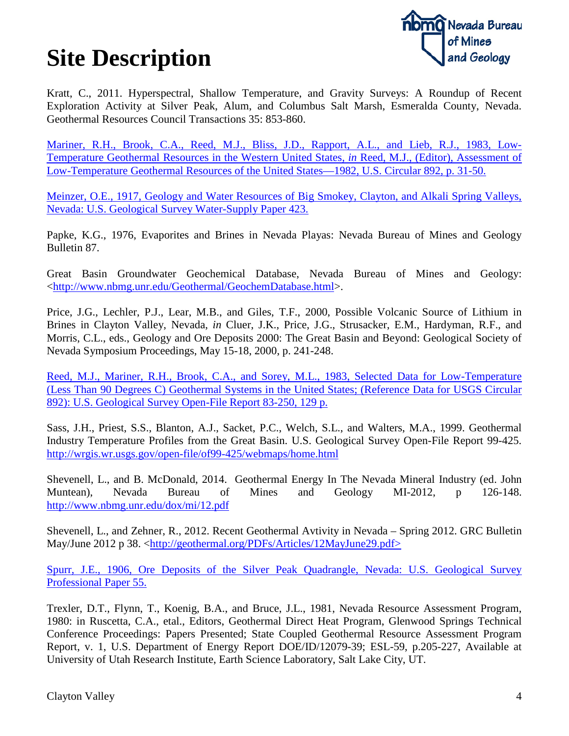

Kratt, C., 2011. Hyperspectral, Shallow Temperature, and Gravity Surveys: A Roundup of Recent Exploration Activity at Silver Peak, Alum, and Columbus Salt Marsh, Esmeralda County, Nevada. Geothermal Resources Council Transactions 35: 853-860.

[Mariner, R.H., Brook, C.A., Reed, M.J., Bliss, J.D., Rapport, A.L., and Lieb, R.J., 1983, Low-](ftp://ftp.nbmg.unr.edu/pub/geothermal/11_Documents/Reed_GeothResources_1982.pdf)[Temperature Geothermal Resources in the Western United States](ftp://ftp.nbmg.unr.edu/pub/geothermal/11_Documents/Reed_GeothResources_1982.pdf)*, in* Reed, M.J., (Editor), Assessment of [Low-Temperature Geothermal Resources of the United States—1982, U.S. Circular 892, p. 31-50.](ftp://ftp.nbmg.unr.edu/pub/geothermal/11_Documents/Reed_GeothResources_1982.pdf)

[Meinzer, O.E., 1917, Geology and Water Resources of Big Smokey, Clayton, and Alkali Spring Valleys,](ftp://ftp.nbmg.unr.edu/pub/Geothermal/11_Documents/Meinzer_ValleysNV_GeoResources_1917.pdf)  [Nevada: U.S. Geological Survey Water-Supply Paper 423.](ftp://ftp.nbmg.unr.edu/pub/Geothermal/11_Documents/Meinzer_ValleysNV_GeoResources_1917.pdf)

Papke, K.G., 1976, Evaporites and Brines in Nevada Playas: Nevada Bureau of Mines and Geology Bulletin 87.

Great Basin Groundwater Geochemical Database, Nevada Bureau of Mines and Geology: [<http://www.nbmg.unr.edu/Geothermal/GeochemDatabase.html>](http://www.nbmg.unr.edu/Geothermal/GeochemDatabase.html).

Price, J.G., Lechler, P.J., Lear, M.B., and Giles, T.F., 2000, Possible Volcanic Source of Lithium in Brines in Clayton Valley, Nevada, *in* Cluer, J.K., Price, J.G., Strusacker, E.M., Hardyman, R.F., and Morris, C.L., eds., Geology and Ore Deposits 2000: The Great Basin and Beyond: Geological Society of Nevada Symposium Proceedings, May 15-18, 2000, p. 241-248.

[Reed, M.J., Mariner, R.H., Brook, C.A., and Sorey, M.L., 1983, Selected Data for Low-Temperature](ftp://ftp.nbmg.unr.edu/pub/geothermal/11_Documents/Reed_LowTempData_GeothUS_1983.pdf)  [\(Less Than 90 Degrees C\) Geothermal Systems in the United States; \(Reference Data for USGS Circular](ftp://ftp.nbmg.unr.edu/pub/geothermal/11_Documents/Reed_LowTempData_GeothUS_1983.pdf)  [892\): U.S. Geological Survey Open-File Report 83-250, 129 p.](ftp://ftp.nbmg.unr.edu/pub/geothermal/11_Documents/Reed_LowTempData_GeothUS_1983.pdf)

Sass, J.H., Priest, S.S., Blanton, A.J., Sacket, P.C., Welch, S.L., and Walters, M.A., 1999. Geothermal Industry Temperature Profiles from the Great Basin. U.S. Geological Survey Open-File Report 99-425. <http://wrgis.wr.usgs.gov/open-file/of99-425/webmaps/home.html>

Shevenell, L., and B. McDonald, 2014. Geothermal Energy In The Nevada Mineral Industry (ed. John Muntean), Nevada Bureau of Mines and Geology MI-2012, p 126-148. <http://www.nbmg.unr.edu/dox/mi/12.pdf>

Shevenell, L., and Zehner, R., 2012. Recent Geothermal Avtivity in Nevada – Spring 2012. GRC Bulletin May/June 2012 p 38. [<http://geothermal.org/PDFs/Articles/12MayJune29.pdf>](http://geothermal.org/PDFs/Articles/12MayJune29.pdf)

[Spurr, J.E., 1906, Ore Deposits of the Silver Peak Quadrangle, Nevada: U.S. Geological Survey](ftp://ftp.nbmg.unr.edu/pub/geothermal/11_Documents/Spurr_SilverPkOreDep_1906.pdf)  [Professional Paper 55.](ftp://ftp.nbmg.unr.edu/pub/geothermal/11_Documents/Spurr_SilverPkOreDep_1906.pdf)

Trexler, D.T., Flynn, T., Koenig, B.A., and Bruce, J.L., 1981, Nevada Resource Assessment Program, 1980: in Ruscetta, C.A., etal., Editors, Geothermal Direct Heat Program, Glenwood Springs Technical Conference Proceedings: Papers Presented; State Coupled Geothermal Resource Assessment Program Report, v. 1, U.S. Department of Energy Report DOE/ID/12079-39; ESL-59, p.205-227, Available at University of Utah Research Institute, Earth Science Laboratory, Salt Lake City, UT.